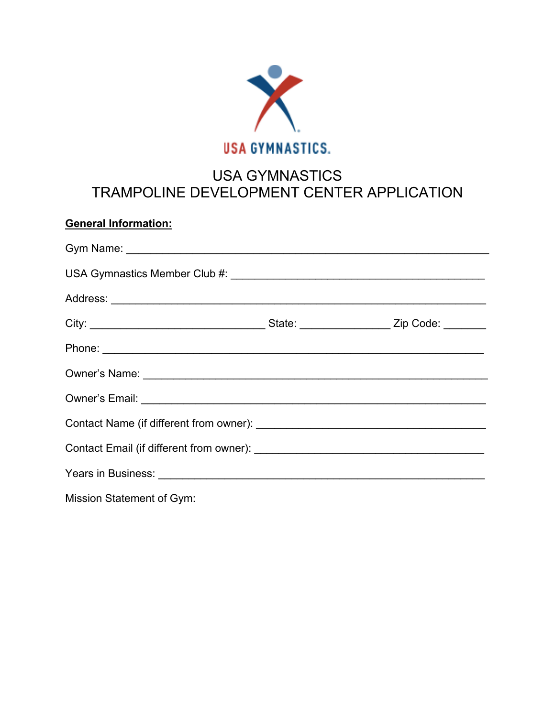

## USA GYMNASTICS TRAMPOLINE DEVELOPMENT CENTER APPLICATION

## **General Information:**

| Mission Statement of Gym: |  |
|---------------------------|--|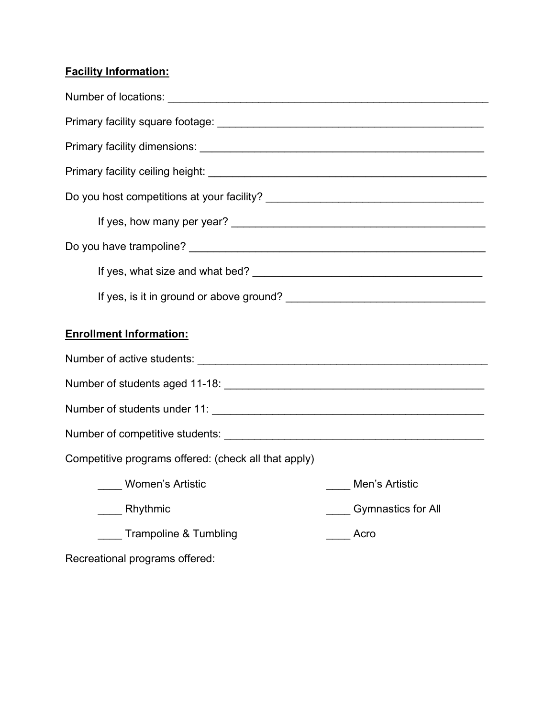## **Facility Information:**

| <b>Enrollment Information:</b>                       |                           |
|------------------------------------------------------|---------------------------|
|                                                      |                           |
|                                                      |                           |
|                                                      |                           |
|                                                      |                           |
| Competitive programs offered: (check all that apply) |                           |
| Women's Artistic                                     | Men's Artistic            |
| Rhythmic                                             | <b>Gymnastics for All</b> |
| <b>Trampoline &amp; Tumbling</b>                     | Acro                      |
| Recreational programs offered:                       |                           |